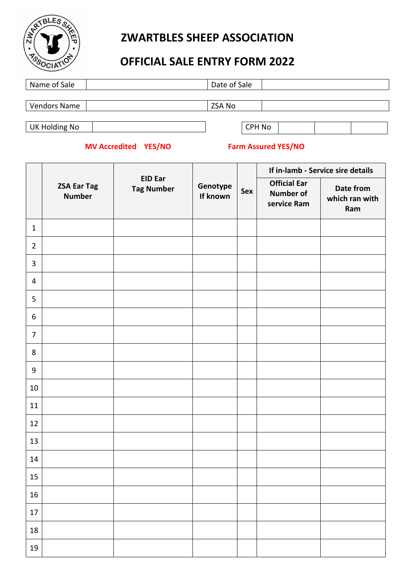

# **ZWARTBLES SHEEP ASSOCIATION**

# **OFFICIAL SALE ENTRY FORM 2022**

| Name of Sale        | Date of Sale |  |
|---------------------|--------------|--|
|                     |              |  |
| <b>Vendors Name</b> | ZSA No       |  |
|                     |              |  |
| UK Holding No       | CPH No       |  |

## **MV Accredited YES/NO Farm Assured YES/NO**

|                  |                                     |                                     |                      |     |                                                        | If in-lamb - Service sire details  |
|------------------|-------------------------------------|-------------------------------------|----------------------|-----|--------------------------------------------------------|------------------------------------|
|                  | <b>ZSA Ear Tag</b><br><b>Number</b> | <b>EID Ear</b><br><b>Tag Number</b> | Genotype<br>If known | Sex | <b>Official Ear</b><br><b>Number of</b><br>service Ram | Date from<br>which ran with<br>Ram |
| $\mathbf{1}$     |                                     |                                     |                      |     |                                                        |                                    |
| $\overline{2}$   |                                     |                                     |                      |     |                                                        |                                    |
| $\overline{3}$   |                                     |                                     |                      |     |                                                        |                                    |
| $\overline{4}$   |                                     |                                     |                      |     |                                                        |                                    |
| 5                |                                     |                                     |                      |     |                                                        |                                    |
| $\boldsymbol{6}$ |                                     |                                     |                      |     |                                                        |                                    |
| $\overline{7}$   |                                     |                                     |                      |     |                                                        |                                    |
| $\,8\,$          |                                     |                                     |                      |     |                                                        |                                    |
| $\boldsymbol{9}$ |                                     |                                     |                      |     |                                                        |                                    |
| 10               |                                     |                                     |                      |     |                                                        |                                    |
| 11               |                                     |                                     |                      |     |                                                        |                                    |
| 12               |                                     |                                     |                      |     |                                                        |                                    |
| 13               |                                     |                                     |                      |     |                                                        |                                    |
| 14               |                                     |                                     |                      |     |                                                        |                                    |
| $15\,$           |                                     |                                     |                      |     |                                                        |                                    |
| 16               |                                     |                                     |                      |     |                                                        |                                    |
| $17\,$           |                                     |                                     |                      |     |                                                        |                                    |
| 18               |                                     |                                     |                      |     |                                                        |                                    |
| 19               |                                     |                                     |                      |     |                                                        |                                    |